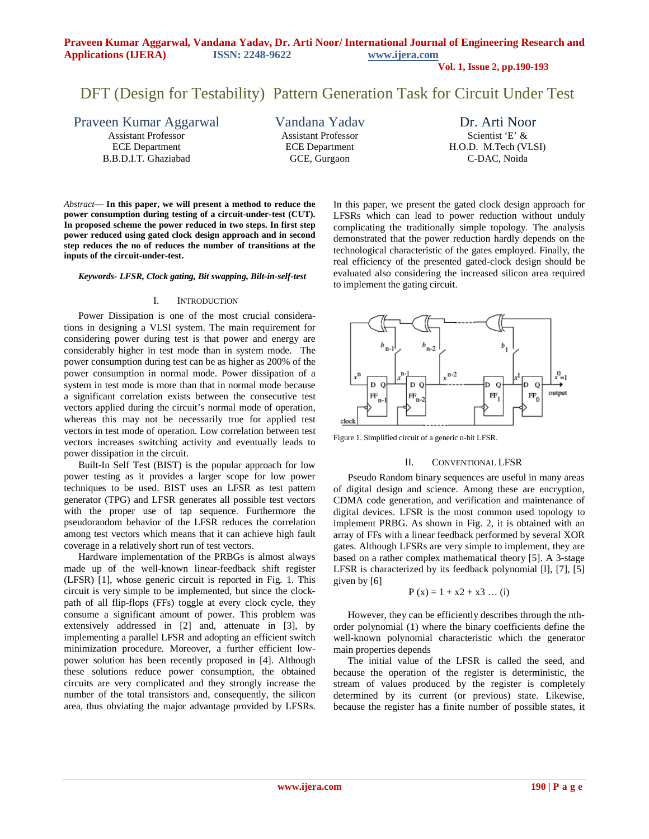**Vol. 1, Issue 2, pp.190-193**

# DFT (Design for Testability) Pattern Generation Task for Circuit Under Test

Praveen Kumar Aggarwal Assistant Professor

ECE Department B.B.D.I.T. Ghaziabad Vandana Yadav Assistant Professor ECE Department GCE, Gurgaon

Dr. Arti Noor Scientist 'E' & H.O.D. M.Tech (VLSI) C-DAC, Noida

*Abstract***— In this paper, we will present a method to reduce the power consumption during testing of a circuit-under-test (CUT). In proposed scheme the power reduced in two steps. In first step power reduced using gated clock design approach and in second step reduces the no of reduces the number of transitions at the inputs of the circuit-under-test.**

*Keywords- LFSR, Clock gating, Bit swapping, Bilt-in-self-test*

#### I. INTRODUCTION

Power Dissipation is one of the most crucial considerations in designing a VLSI system. The main requirement for considering power during test is that power and energy are considerably higher in test mode than in system mode. The power consumption during test can be as higher as 200% of the power consumption in normal mode. Power dissipation of a system in test mode is more than that in normal mode because a significant correlation exists between the consecutive test vectors applied during the circuit's normal mode of operation, whereas this may not be necessarily true for applied test vectors in test mode of operation. Low correlation between test vectors increases switching activity and eventually leads to power dissipation in the circuit.

Built-In Self Test (BIST) is the popular approach for low power testing as it provides a larger scope for low power techniques to be used. BIST uses an LFSR as test pattern generator (TPG) and LFSR generates all possible test vectors with the proper use of tap sequence. Furthermore the pseudorandom behavior of the LFSR reduces the correlation among test vectors which means that it can achieve high fault coverage in a relatively short run of test vectors.

Hardware implementation of the PRBGs is almost always made up of the well-known linear-feedback shift register (LFSR) [1], whose generic circuit is reported in Fig. 1. This circuit is very simple to be implemented, but since the clockpath of all flip-flops (FFs) toggle at every clock cycle, they consume a significant amount of power. This problem was extensively addressed in [2] and, attenuate in [3], by implementing a parallel LFSR and adopting an efficient switch minimization procedure. Moreover, a further efficient lowpower solution has been recently proposed in [4]. Although these solutions reduce power consumption, the obtained circuits are very complicated and they strongly increase the number of the total transistors and, consequently, the silicon area, thus obviating the major advantage provided by LFSRs. In this paper, we present the gated clock design approach for LFSRs which can lead to power reduction without unduly complicating the traditionally simple topology. The analysis demonstrated that the power reduction hardly depends on the technological characteristic of the gates employed. Finally, the real efficiency of the presented gated-clock design should be evaluated also considering the increased silicon area required to implement the gating circuit.



Figure 1. Simplified circuit of a generic n-bit LFSR.

#### II. CONVENTIONAL LFSR

Pseudo Random binary sequences are useful in many areas of digital design and science. Among these are encryption, CDMA code generation, and verification and maintenance of digital devices. LFSR is the most common used topology to implement PRBG. As shown in Fig. 2, it is obtained with an array of FFs with a linear feedback performed by several XOR gates. Although LFSRs are very simple to implement, they are based on a rather complex mathematical theory [5]. A 3-stage LFSR is characterized by its feedback polynomial [l], [7], [5] given by [6]

$$
P(x) = 1 + x^2 + x^3 \dots (i)
$$

However, they can be efficiently describes through the nthorder polynomial (1) where the binary coefficients define the well-known polynomial characteristic which the generator main properties depends

The initial value of the LFSR is called the seed, and because the operation of the register is deterministic, the stream of values produced by the register is completely determined by its current (or previous) state. Likewise, because the register has a finite number of possible states, it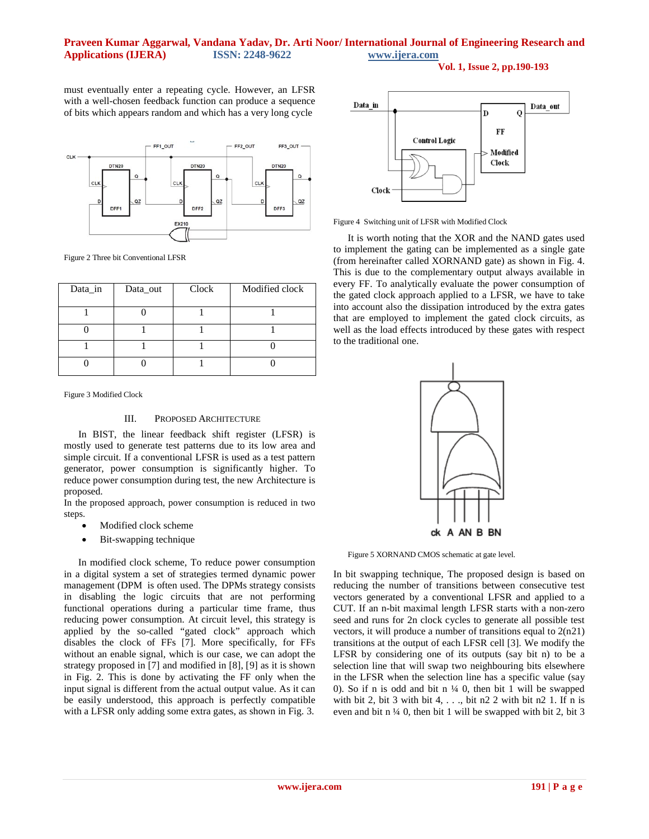# **Praveen Kumar Aggarwal, Vandana Yadav, Dr. Arti Noor/ International Journal of Engineering Research and Applications (IJERA) ISSN: 2248-9622 www.ijera.com**

**Vol. 1, Issue 2, pp.190-193**

must eventually enter a repeating cycle. However, an LFSR with a well-chosen feedback function can produce a sequence of bits which appears random and which has a very long cycle



Figure 2 Three bit Conventional LFSR

| Data_in | Data_out | Clock | Modified clock |
|---------|----------|-------|----------------|
|         |          |       |                |
|         |          |       |                |
|         |          |       |                |
|         |          |       |                |

Figure 3 Modified Clock

### III. PROPOSED ARCHITECTURE

In BIST, the linear feedback shift register (LFSR) is mostly used to generate test patterns due to its low area and simple circuit. If a conventional LFSR is used as a test pattern generator, power consumption is significantly higher. To reduce power consumption during test, the new Architecture is proposed.

In the proposed approach, power consumption is reduced in two steps.

- Modified clock scheme
- Bit-swapping technique

In modified clock scheme, To reduce power consumption in a digital system a set of strategies termed dynamic power management (DPM is often used. The DPMs strategy consists in disabling the logic circuits that are not performing functional operations during a particular time frame, thus reducing power consumption. At circuit level, this strategy is applied by the so-called "gated clock" approach which disables the clock of FFs [7]. More specifically, for FFs without an enable signal, which is our case, we can adopt the strategy proposed in [7] and modified in [8], [9] as it is shown in Fig. 2. This is done by activating the FF only when the input signal is different from the actual output value. As it can be easily understood, this approach is perfectly compatible with a LFSR only adding some extra gates, as shown in Fig. 3.



Figure 4 Switching unit of LFSR with Modified Clock

It is worth noting that the XOR and the NAND gates used to implement the gating can be implemented as a single gate (from hereinafter called XORNAND gate) as shown in Fig. 4. This is due to the complementary output always available in every FF. To analytically evaluate the power consumption of the gated clock approach applied to a LFSR, we have to take into account also the dissipation introduced by the extra gates that are employed to implement the gated clock circuits, as well as the load effects introduced by these gates with respect to the traditional one.



Figure 5 XORNAND CMOS schematic at gate level.

In bit swapping technique, The proposed design is based on reducing the number of transitions between consecutive test vectors generated by a conventional LFSR and applied to a CUT. If an n-bit maximal length LFSR starts with a non-zero seed and runs for 2n clock cycles to generate all possible test vectors, it will produce a number of transitions equal to 2(n21) transitions at the output of each LFSR cell [3]. We modify the LFSR by considering one of its outputs (say bit n) to be a selection line that will swap two neighbouring bits elsewhere in the LFSR when the selection line has a specific value (say 0). So if n is odd and bit n  $\frac{1}{4}$  0, then bit 1 will be swapped with bit 2, bit 3 with bit 4, . . ., bit n2 2 with bit n2 1. If n is even and bit n ¼ 0, then bit 1 will be swapped with bit 2, bit 3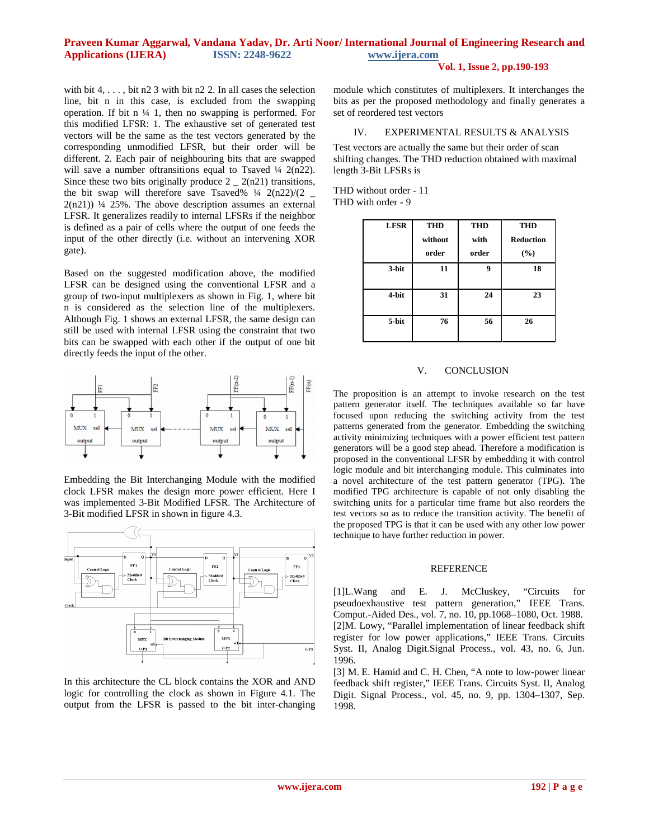# **Praveen Kumar Aggarwal, Vandana Yadav, Dr. Arti Noor/ International Journal of Engineering Research and Applications (IJERA) ISSN: 2248-9622 www.ijera.com**

# **Vol. 1, Issue 2, pp.190-193**

with bit  $4, \ldots$ , bit n2 3 with bit n2 2. In all cases the selection line, bit n in this case, is excluded from the swapping operation. If bit n  $\frac{1}{4}$  1, then no swapping is performed. For this modified LFSR: 1. The exhaustive set of generated test vectors will be the same as the test vectors generated by the corresponding unmodified LFSR, but their order will be different. 2. Each pair of neighbouring bits that are swapped will save a number of transitions equal to Tsaved  $\frac{1}{4}$  2(n22). Since these two bits originally produce  $2 - 2(n21)$  transitions, the bit swap will therefore save Tsaved%  $\frac{1}{4}$  2(n22)/(2  $\pm$  $2(n21)$ ) ¼ 25%. The above description assumes an external LFSR. It generalizes readily to internal LFSRs if the neighbor is defined as a pair of cells where the output of one feeds the input of the other directly (i.e. without an intervening XOR gate).

Based on the suggested modification above, the modified LFSR can be designed using the conventional LFSR and a group of two-input multiplexers as shown in Fig. 1, where bit n is considered as the selection line of the multiplexers. Although Fig. 1 shows an external LFSR, the same design can still be used with internal LFSR using the constraint that two bits can be swapped with each other if the output of one bit directly feeds the input of the other.



Embedding the Bit Interchanging Module with the modified clock LFSR makes the design more power efficient. Here I was implemented 3-Bit Modified LFSR. The Architecture of 3-Bit modified LFSR in shown in figure 4.3.



In this architecture the CL block contains the XOR and AND logic for controlling the clock as shown in Figure 4.1. The output from the LFSR is passed to the bit inter-changing module which constitutes of multiplexers. It interchanges the bits as per the proposed methodology and finally generates a set of reordered test vectors

## IV. EXPERIMENTAL RESULTS & ANALYSIS

Test vectors are actually the same but their order of scan shifting changes. The THD reduction obtained with maximal length 3-Bit LFSRs is

THD without order - 11 THD with order - 9

| <b>LFSR</b> | <b>THD</b> | <b>THD</b> | <b>THD</b>       |
|-------------|------------|------------|------------------|
|             | without    | with       | <b>Reduction</b> |
|             | order      | order      | (%)              |
| 3-bit       | 11         | 9          | 18               |
| 4-bit       | 31         | 24         | 23               |
| 5-bit       | 76         | 56         | 26               |

### V. CONCLUSION

The proposition is an attempt to invoke research on the test pattern generator itself. The techniques available so far have focused upon reducing the switching activity from the test patterns generated from the generator. Embedding the switching activity minimizing techniques with a power efficient test pattern generators will be a good step ahead. Therefore a modification is proposed in the conventional LFSR by embedding it with control logic module and bit interchanging module. This culminates into a novel architecture of the test pattern generator (TPG). The modified TPG architecture is capable of not only disabling the switching units for a particular time frame but also reorders the test vectors so as to reduce the transition activity. The benefit of the proposed TPG is that it can be used with any other low power technique to have further reduction in power.

### **REFERENCE**

[1]L.Wang and E. J. McCluskey, "Circuits for pseudoexhaustive test pattern generation," IEEE Trans. Comput.-Aided Des., vol. 7, no. 10, pp.1068–1080, Oct. 1988. [2]M. Lowy, "Parallel implementation of linear feedback shift register for low power applications," IEEE Trans. Circuits Syst. II, Analog Digit.Signal Process., vol. 43, no. 6, Jun. 1996.

[3] M. E. Hamid and C. H. Chen, "A note to low-power linear feedback shift register," IEEE Trans. Circuits Syst. II, Analog Digit. Signal Process., vol. 45, no. 9, pp. 1304–1307, Sep. 1998.